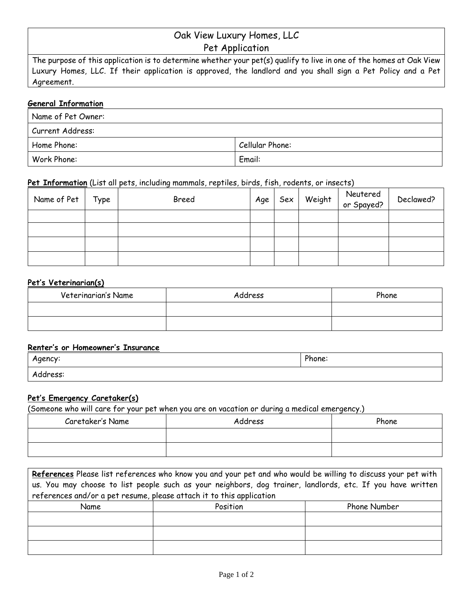# Oak View Luxury Homes, LLC

Pet Application

The purpose of this application is to determine whether your pet(s) qualify to live in one of the homes at Oak View Luxury Homes, LLC. If their application is approved, the landlord and you shall sign a Pet Policy and a Pet Agreement.

## **General Information**

| Name of Pet Owner: |                 |  |
|--------------------|-----------------|--|
| Current Address:   |                 |  |
| Home Phone:        | Cellular Phone: |  |
| Work Phone:        | Email:          |  |

## **Pet Information** (List all pets, including mammals, reptiles, birds, fish, rodents, or insects)

| Name of Pet | Type | Breed | Age | Sex | Weight Neutered<br>or Spayed? | Declawed? |
|-------------|------|-------|-----|-----|-------------------------------|-----------|
|             |      |       |     |     |                               |           |
|             |      |       |     |     |                               |           |
|             |      |       |     |     |                               |           |
|             |      |       |     |     |                               |           |

#### **Pet's Veterinarian(s)**

| Veterinarian's Name | Address | Phone |
|---------------------|---------|-------|
|                     |         |       |
|                     |         |       |

#### **Renter's or Homeowner's Insurance**

| A<br>ency.<br>ـ | ∘hone: |
|-----------------|--------|
| Address:        |        |

#### **Pet's Emergency Caretaker(s)**

(Someone who will care for your pet when you are on vacation or during a medical emergency.)

| Caretaker's Name | Address | Phone |
|------------------|---------|-------|
|                  |         |       |
|                  |         |       |

**References** Please list references who know you and your pet and who would be willing to discuss your pet with us. You may choose to list people such as your neighbors, dog trainer, landlords, etc. If you have written references and/or a pet resume, please attach it to this application

| Name | Position | Phone Number |
|------|----------|--------------|
|      |          |              |
|      |          |              |
|      |          |              |